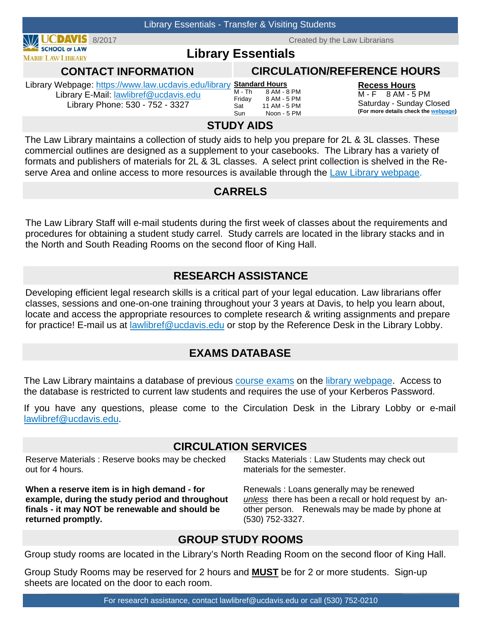

The Law Library maintains a collection of study aids to help you prepare for 2L & 3L classes. These commercial outlines are designed as a supplement to your casebooks. The Library has a variety of formats and publishers of materials for 2L & 3L classes. A select print collection is shelved in the Reserve Area and online access to more resources is available through the Law Library webpage.

### **CARRELS**

The Law Library Staff will e-mail students during the first week of classes about the requirements and procedures for obtaining a student study carrel. Study carrels are located in the library stacks and in the North and South Reading Rooms on the second floor of King Hall.

## **RESEARCH ASSISTANCE**

Developing efficient legal research skills is a critical part of your legal education. Law librarians offer classes, sessions and one-on-one training throughout your 3 years at Davis, to help you learn about, locate and access the appropriate resources to complete research & writing assignments and prepare for practice! E-mail us at lawlibref@ucdavis.edu or stop by the Reference Desk in the Library Lobby.

## **EXAMS DATABASE**

The Law Library maintains a database of previous course exams on the library webpage. Access to the database is restricted to current law students and requires the use of your Kerberos Password.

If you have any questions, please come to the Circulation Desk in the Library Lobby or e-mail lawlibref@ucdavis.edu.

#### **CIRCULATION SERVICES**

Reserve Materials : Reserve books may be checked out for 4 hours.

**When a reserve item is in high demand - for example, during the study period and throughout finals - it may NOT be renewable and should be returned promptly.**

Stacks Materials : Law Students may check out materials for the semester.

Renewals : Loans generally may be renewed *unless*there has been a recall or hold request by another person. Renewals may be made by phone at (530) 752-3327.

#### **GROUP STUDY ROOMS**

Group study rooms are located in the Library's North Reading Room on the second floor of King Hall.

Group Study Rooms may be reserved for 2 hours and **MUST** be for 2 or more students. Sign-up sheets are located on the door to each room.